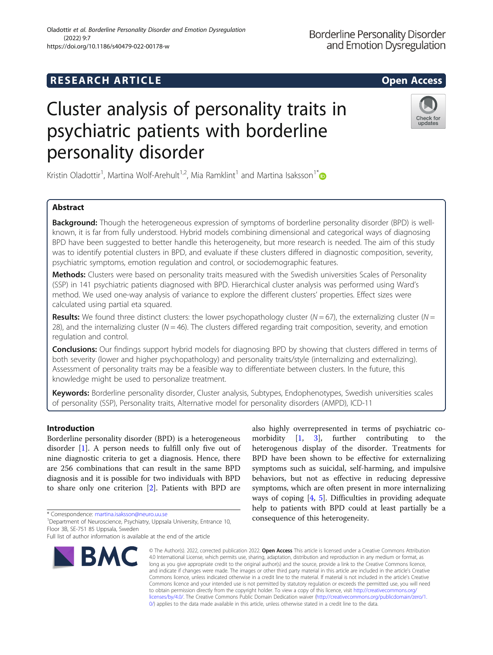# Cluster analysis of personality traits in psychiatric patients with borderline personality disorder

Kristin Oladottir<sup>1</sup>, Martina Wolf-Arehult<sup>1,2</sup>, Mia Ramklint<sup>1</sup> and Martina Isaksson<sup>1\*</sup>

# Abstract

Background: Though the heterogeneous expression of symptoms of borderline personality disorder (BPD) is wellknown, it is far from fully understood. Hybrid models combining dimensional and categorical ways of diagnosing BPD have been suggested to better handle this heterogeneity, but more research is needed. The aim of this study was to identify potential clusters in BPD, and evaluate if these clusters differed in diagnostic composition, severity, psychiatric symptoms, emotion regulation and control, or sociodemographic features.

Methods: Clusters were based on personality traits measured with the Swedish universities Scales of Personality (SSP) in 141 psychiatric patients diagnosed with BPD. Hierarchical cluster analysis was performed using Ward's method. We used one-way analysis of variance to explore the different clusters' properties. Effect sizes were calculated using partial eta squared.

**Results:** We found three distinct clusters: the lower psychopathology cluster ( $N = 67$ ), the externalizing cluster ( $N = 67$ ) 28), and the internalizing cluster ( $N = 46$ ). The clusters differed regarding trait composition, severity, and emotion regulation and control.

Conclusions: Our findings support hybrid models for diagnosing BPD by showing that clusters differed in terms of both severity (lower and higher psychopathology) and personality traits/style (internalizing and externalizing). Assessment of personality traits may be a feasible way to differentiate between clusters. In the future, this knowledge might be used to personalize treatment.

Keywords: Borderline personality disorder, Cluster analysis, Subtypes, Endophenotypes, Swedish universities scales of personality (SSP), Personality traits, Alternative model for personality disorders (AMPD), ICD-11

# Introduction

Borderline personality disorder (BPD) is a heterogeneous disorder [\[1](#page-9-0)]. A person needs to fulfill only five out of nine diagnostic criteria to get a diagnosis. Hence, there are 256 combinations that can result in the same BPD diagnosis and it is possible for two individuals with BPD to share only one criterion [\[2](#page-9-0)]. Patients with BPD are

\* Correspondence: [martina.isaksson@neuro.uu.se](mailto:martina.isaksson@neuro.uu.se) <sup>1</sup>

<sup>1</sup>Department of Neuroscience, Psychiatry, Uppsala University, Entrance 10, Floor 3B, SE-751 85 Uppsala, Sweden

© The Author(s). 2022, corrected publication 2022. Open Access This article is licensed under a Creative Commons Attribution BMC

4.0 International License, which permits use, sharing, adaptation, distribution and reproduction in any medium or format, as long as you give appropriate credit to the original author(s) and the source, provide a link to the Creative Commons licence, and indicate if changes were made. The images or other third party material in this article are included in the article's Creative Commons licence, unless indicated otherwise in a credit line to the material. If material is not included in the article's Creative Commons licence and your intended use is not permitted by statutory regulation or exceeds the permitted use, you will need to obtain permission directly from the copyright holder. To view a copy of this licence, visit [http://creativecommons.org/](http://creativecommons.org/licenses/by/4.0/) [licenses/by/4.0/.](http://creativecommons.org/licenses/by/4.0/) The Creative Commons Public Domain Dedication waiver ([http://creativecommons.org/publicdomain/zero/1.](http://creativecommons.org/publicdomain/zero/1.0/) [0/\)](http://creativecommons.org/publicdomain/zero/1.0/) applies to the data made available in this article, unless otherwise stated in a credit line to the data.

consequence of this heterogeneity.

also highly overrepresented in terms of psychiatric comorbidity [\[1,](#page-9-0) [3](#page-9-0)], further contributing to the heterogenous display of the disorder. Treatments for BPD have been shown to be effective for externalizing symptoms such as suicidal, self-harming, and impulsive behaviors, but not as effective in reducing depressive symptoms, which are often present in more internalizing ways of coping [\[4](#page-9-0), [5](#page-9-0)]. Difficulties in providing adequate help to patients with BPD could at least partially be a





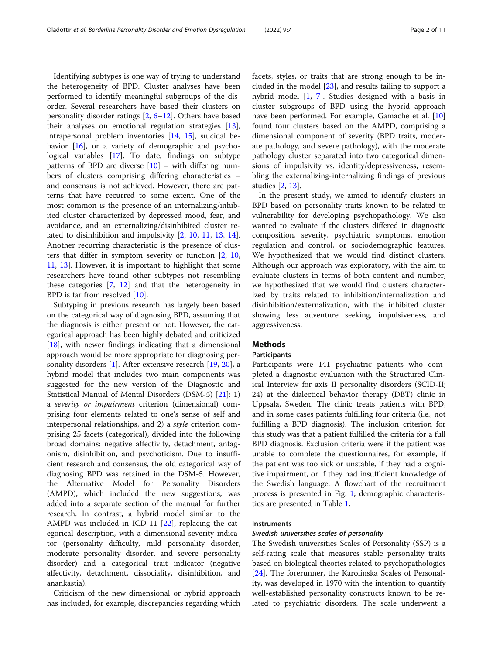Identifying subtypes is one way of trying to understand the heterogeneity of BPD. Cluster analyses have been performed to identify meaningful subgroups of the disorder. Several researchers have based their clusters on personality disorder ratings [\[2](#page-9-0), [6](#page-9-0)–[12](#page-9-0)]. Others have based their analyses on emotional regulation strategies [\[13](#page-9-0)], intrapersonal problem inventories [\[14](#page-9-0), [15](#page-9-0)], suicidal be-havior [[16](#page-9-0)], or a variety of demographic and psychological variables [\[17](#page-9-0)]. To date, findings on subtype patterns of BPD are diverse [[10\]](#page-9-0) – with differing numbers of clusters comprising differing characteristics – and consensus is not achieved. However, there are patterns that have recurred to some extent. One of the most common is the presence of an internalizing/inhibited cluster characterized by depressed mood, fear, and avoidance, and an externalizing/disinhibited cluster related to disinhibition and impulsivity [[2,](#page-9-0) [10](#page-9-0), [11,](#page-9-0) [13,](#page-9-0) [14](#page-9-0)]. Another recurring characteristic is the presence of clusters that differ in symptom severity or function [\[2](#page-9-0), [10](#page-9-0), [11,](#page-9-0) [13](#page-9-0)]. However, it is important to highlight that some researchers have found other subtypes not resembling these categories [[7,](#page-9-0) [12](#page-9-0)] and that the heterogeneity in BPD is far from resolved [[10\]](#page-9-0).

Subtyping in previous research has largely been based on the categorical way of diagnosing BPD, assuming that the diagnosis is either present or not. However, the categorical approach has been highly debated and criticized  $[18]$  $[18]$ , with newer findings indicating that a dimensional approach would be more appropriate for diagnosing per-sonality disorders [[1\]](#page-9-0). After extensive research [[19,](#page-9-0) [20\]](#page-10-0), a hybrid model that includes two main components was suggested for the new version of the Diagnostic and Statistical Manual of Mental Disorders (DSM-5) [[21\]](#page-10-0): 1) <sup>a</sup> severity or impairment criterion (dimensional) comprising four elements related to one's sense of self and interpersonal relationships, and 2) a style criterion comprising 25 facets (categorical), divided into the following broad domains: negative affectivity, detachment, antagonism, disinhibition, and psychoticism. Due to insufficient research and consensus, the old categorical way of diagnosing BPD was retained in the DSM-5. However, the Alternative Model for Personality Disorders (AMPD), which included the new suggestions, was added into a separate section of the manual for further research. In contrast, a hybrid model similar to the AMPD was included in ICD-11 [\[22](#page-10-0)], replacing the categorical description, with a dimensional severity indicator (personality difficulty, mild personality disorder, moderate personality disorder, and severe personality disorder) and a categorical trait indicator (negative affectivity, detachment, dissociality, disinhibition, and anankastia).

Criticism of the new dimensional or hybrid approach has included, for example, discrepancies regarding which facets, styles, or traits that are strong enough to be included in the model [[23\]](#page-10-0), and results failing to support a hybrid model [[1,](#page-9-0) [7](#page-9-0)]. Studies designed with a basis in cluster subgroups of BPD using the hybrid approach have been performed. For example, Gamache et al. [[10](#page-9-0)] found four clusters based on the AMPD, comprising a dimensional component of severity (BPD traits, moderate pathology, and severe pathology), with the moderate pathology cluster separated into two categorical dimensions of impulsivity vs. identity/depressiveness, resembling the externalizing-internalizing findings of previous studies [\[2,](#page-9-0) [13\]](#page-9-0).

In the present study, we aimed to identify clusters in BPD based on personality traits known to be related to vulnerability for developing psychopathology. We also wanted to evaluate if the clusters differed in diagnostic composition, severity, psychiatric symptoms, emotion regulation and control, or sociodemographic features. We hypothesized that we would find distinct clusters. Although our approach was exploratory, with the aim to evaluate clusters in terms of both content and number, we hypothesized that we would find clusters characterized by traits related to inhibition/internalization and disinhibition/externalization, with the inhibited cluster showing less adventure seeking, impulsiveness, and aggressiveness.

## Methods

## **Participants**

Participants were 141 psychiatric patients who completed a diagnostic evaluation with the Structured Clinical Interview for axis II personality disorders (SCID-II; 24) at the dialectical behavior therapy (DBT) clinic in Uppsala, Sweden. The clinic treats patients with BPD, and in some cases patients fulfilling four criteria (i.e., not fulfilling a BPD diagnosis). The inclusion criterion for this study was that a patient fulfilled the criteria for a full BPD diagnosis. Exclusion criteria were if the patient was unable to complete the questionnaires, for example, if the patient was too sick or unstable, if they had a cognitive impairment, or if they had insufficient knowledge of the Swedish language. A flowchart of the recruitment process is presented in Fig. [1;](#page-2-0) demographic characteristics are presented in Table [1](#page-2-0).

## **Instruments**

## Swedish universities scales of personality

The Swedish universities Scales of Personality (SSP) is a self-rating scale that measures stable personality traits based on biological theories related to psychopathologies [[24\]](#page-10-0). The forerunner, the Karolinska Scales of Personality, was developed in 1970 with the intention to quantify well-established personality constructs known to be related to psychiatric disorders. The scale underwent a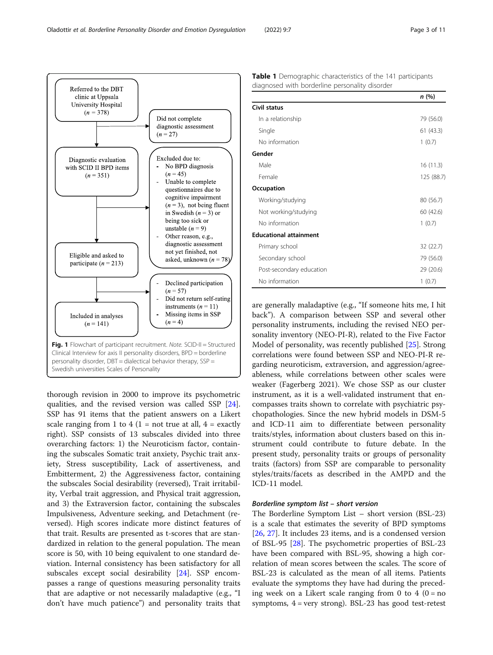Fig. 1 Flowchart of participant recruitment. Note. SCID-II = Structured Clinical Interview for axis II personality disorders, BPD = borderline personality disorder, DBT = dialectical behavior therapy, SSP = Swedish universities Scales of Personality

thorough revision in 2000 to improve its psychometric qualities, and the revised version was called SSP [\[24](#page-10-0)]. SSP has 91 items that the patient answers on a Likert scale ranging from 1 to 4 (1 = not true at all,  $4 =$  exactly right). SSP consists of 13 subscales divided into three overarching factors: 1) the Neuroticism factor, containing the subscales Somatic trait anxiety, Psychic trait anxiety, Stress susceptibility, Lack of assertiveness, and Embitterment, 2) the Aggressiveness factor, containing the subscales Social desirability (reversed), Trait irritability, Verbal trait aggression, and Physical trait aggression, and 3) the Extraversion factor, containing the subscales Impulsiveness, Adventure seeking, and Detachment (reversed). High scores indicate more distinct features of that trait. Results are presented as t-scores that are standardized in relation to the general population. The mean score is 50, with 10 being equivalent to one standard deviation. Internal consistency has been satisfactory for all subscales except social desirability [\[24\]](#page-10-0). SSP encompasses a range of questions measuring personality traits that are adaptive or not necessarily maladaptive (e.g., "I don't have much patience") and personality traits that are generally maladaptive (e.g., "If someone hits me, I hit back"). A comparison between SSP and several other personality instruments, including the revised NEO personality inventory (NEO-PI-R), related to the Five Factor Model of personality, was recently published [\[25](#page-10-0)]. Strong correlations were found between SSP and NEO-PI-R regarding neuroticism, extraversion, and aggression/agreeableness, while correlations between other scales were weaker (Fagerberg 2021). We chose SSP as our cluster instrument, as it is a well-validated instrument that encompasses traits shown to correlate with psychiatric psychopathologies. Since the new hybrid models in DSM-5 and ICD-11 aim to differentiate between personality traits/styles, information about clusters based on this instrument could contribute to future debate. In the present study, personality traits or groups of personality traits (factors) from SSP are comparable to personality styles/traits/facets as described in the AMPD and the ICD-11 model.

## Borderline symptom list – short version

The Borderline Symptom List – short version (BSL-23) is a scale that estimates the severity of BPD symptoms [[26,](#page-10-0) [27\]](#page-10-0). It includes 23 items, and is a condensed version of BSL-95 [[28](#page-10-0)]. The psychometric properties of BSL-23 have been compared with BSL-95, showing a high correlation of mean scores between the scales. The score of BSL-23 is calculated as the mean of all items. Patients evaluate the symptoms they have had during the preceding week on a Likert scale ranging from 0 to 4 ( $0 = no$ ) symptoms, 4 = very strong). BSL-23 has good test-retest

Table 1 Demographic characteristics of the 141 participants diagnosed with borderline personality disorder

In a relationship 79 (56.0) Single 61 (43.3) No information 1 (0.7)

Male 16 (11.3) Female 125 (88.7)

Working/studying 80 (56.7) Not working/studying 60 (42.6) No information 1 (0.7)

Primary school 32 (22.7) Secondary school 79 (56.0) Post-secondary education 29 (20.6) No information 1 (0.7)

Civil status

Gender

**Occupation** 

Educational attainment

<span id="page-2-0"></span>

|  | οττιr et al. Borderline Personality Disorder and Emotion Dysregulation |  | (2022) 9:7 |  |
|--|------------------------------------------------------------------------|--|------------|--|
|  |                                                                        |  |            |  |

| Referred to the DBT<br>clinic at Uppsala<br>University Hospital<br>$(n = 378)$                                                                                                                                                                                     | Did not complete<br>diagnostic assessment<br>$(n = 27)$                                                                                                                                                                                                                                                                             |
|--------------------------------------------------------------------------------------------------------------------------------------------------------------------------------------------------------------------------------------------------------------------|-------------------------------------------------------------------------------------------------------------------------------------------------------------------------------------------------------------------------------------------------------------------------------------------------------------------------------------|
| Diagnostic evaluation<br>with SCID II BPD items<br>$(n = 351)$<br>Eligible and asked to<br>participate ( $n = 213$ )                                                                                                                                               | Excluded due to:<br>No BPD diagnosis<br>$(n = 45)$<br>Unable to complete<br>questionnaires due to<br>cognitive impairment<br>$(n=3)$ , not being fluent<br>in Swedish $(n = 3)$ or<br>being too sick or<br>unstable $(n = 9)$<br>Other reason, e.g.,<br>diagnostic assessment<br>not yet finished, not<br>asked, unknown $(n = 78)$ |
| Included in analyses<br>$(n = 141)$                                                                                                                                                                                                                                | Declined participation<br>$(n = 57)$<br>Did not return self-rating<br>instruments $(n = 11)$<br>Missing items in SSP<br>$(n = 4)$                                                                                                                                                                                                   |
| Fig. 1 Flowchart of participant recruitment. Note. SCID-II = Structured<br>Clinical Interview for axis II personality disorders, BPD = borderline<br>personality disorder, DBT = dialectical behavior therapy, SSP =<br>Swedish universities Scales of Personality |                                                                                                                                                                                                                                                                                                                                     |

n (%)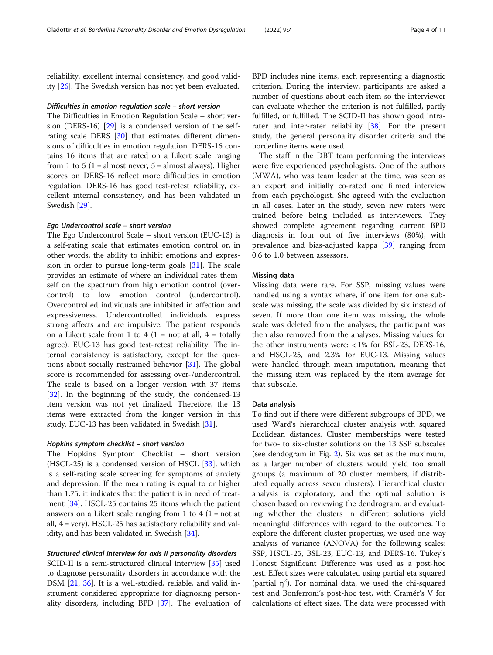reliability, excellent internal consistency, and good validity [[26\]](#page-10-0). The Swedish version has not yet been evaluated.

#### Difficulties in emotion regulation scale – short version

The Difficulties in Emotion Regulation Scale – short version (DERS-16) [\[29\]](#page-10-0) is a condensed version of the selfrating scale DERS [\[30\]](#page-10-0) that estimates different dimensions of difficulties in emotion regulation. DERS-16 contains 16 items that are rated on a Likert scale ranging from 1 to 5 (1 = almost never,  $5$  = almost always). Higher scores on DERS-16 reflect more difficulties in emotion regulation. DERS-16 has good test-retest reliability, excellent internal consistency, and has been validated in Swedish [[29\]](#page-10-0).

# Ego Undercontrol scale – short version

The Ego Undercontrol Scale – short version (EUC-13) is a self-rating scale that estimates emotion control or, in other words, the ability to inhibit emotions and expression in order to pursue long-term goals [[31\]](#page-10-0). The scale provides an estimate of where an individual rates themself on the spectrum from high emotion control (overcontrol) to low emotion control (undercontrol). Overcontrolled individuals are inhibited in affection and expressiveness. Undercontrolled individuals express strong affects and are impulsive. The patient responds on a Likert scale from 1 to 4 (1 = not at all, 4 = totally agree). EUC-13 has good test-retest reliability. The internal consistency is satisfactory, except for the questions about socially restrained behavior [\[31](#page-10-0)]. The global score is recommended for assessing over-/undercontrol. The scale is based on a longer version with 37 items [[32\]](#page-10-0). In the beginning of the study, the condensed-13 item version was not yet finalized. Therefore, the 13 items were extracted from the longer version in this study. EUC-13 has been validated in Swedish [[31](#page-10-0)].

## Hopkins symptom checklist – short version

The Hopkins Symptom Checklist – short version (HSCL-25) is a condensed version of HSCL [\[33\]](#page-10-0), which is a self-rating scale screening for symptoms of anxiety and depression. If the mean rating is equal to or higher than 1.75, it indicates that the patient is in need of treatment [\[34\]](#page-10-0). HSCL-25 contains 25 items which the patient answers on a Likert scale ranging from 1 to 4  $(1 = not at$ all, 4 = very). HSCL-25 has satisfactory reliability and validity, and has been validated in Swedish [[34\]](#page-10-0).

## Structured clinical interview for axis II personality disorders

SCID-II is a semi-structured clinical interview [\[35](#page-10-0)] used to diagnose personality disorders in accordance with the DSM [[21,](#page-10-0) [36](#page-10-0)]. It is a well-studied, reliable, and valid instrument considered appropriate for diagnosing personality disorders, including BPD [[37\]](#page-10-0). The evaluation of

BPD includes nine items, each representing a diagnostic criterion. During the interview, participants are asked a number of questions about each item so the interviewer can evaluate whether the criterion is not fulfilled, partly fulfilled, or fulfilled. The SCID-II has shown good intra-rater and inter-rater reliability [[38](#page-10-0)]. For the present study, the general personality disorder criteria and the borderline items were used.

The staff in the DBT team performing the interviews were five experienced psychologists. One of the authors (MWA), who was team leader at the time, was seen as an expert and initially co-rated one filmed interview from each psychologist. She agreed with the evaluation in all cases. Later in the study, seven new raters were trained before being included as interviewers. They showed complete agreement regarding current BPD diagnosis in four out of five interviews (80%), with prevalence and bias-adjusted kappa [\[39](#page-10-0)] ranging from 0.6 to 1.0 between assessors.

# Missing data

Missing data were rare. For SSP, missing values were handled using a syntax where, if one item for one subscale was missing, the scale was divided by six instead of seven. If more than one item was missing, the whole scale was deleted from the analyses; the participant was then also removed from the analyses. Missing values for the other instruments were:  $< 1\%$  for BSL-23, DERS-16, and HSCL-25, and 2.3% for EUC-13. Missing values were handled through mean imputation, meaning that the missing item was replaced by the item average for that subscale.

#### Data analysis

To find out if there were different subgroups of BPD, we used Ward's hierarchical cluster analysis with squared Euclidean distances. Cluster memberships were tested for two- to six-cluster solutions on the 13 SSP subscales (see dendogram in Fig. [2](#page-4-0)). Six was set as the maximum, as a larger number of clusters would yield too small groups (a maximum of 20 cluster members, if distributed equally across seven clusters). Hierarchical cluster analysis is exploratory, and the optimal solution is chosen based on reviewing the dendrogram, and evaluating whether the clusters in different solutions yield meaningful differences with regard to the outcomes. To explore the different cluster properties, we used one-way analysis of variance (ANOVA) for the following scales: SSP, HSCL-25, BSL-23, EUC-13, and DERS-16. Tukey's Honest Significant Difference was used as a post-hoc test. Effect sizes were calculated using partial eta squared (partial  $\eta^2$ ). For nominal data, we used the chi-squared test and Bonferroni's post-hoc test, with Cramér's V for calculations of effect sizes. The data were processed with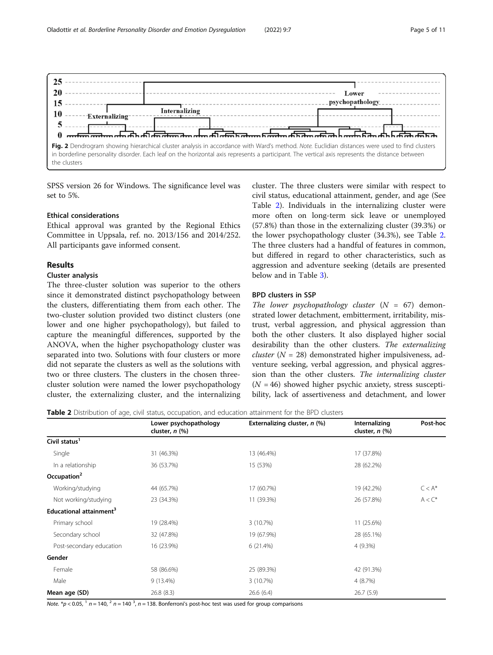<span id="page-4-0"></span>

SPSS version 26 for Windows. The significance level was set to 5%.

## Ethical considerations

Ethical approval was granted by the Regional Ethics Committee in Uppsala, ref. no. 2013/156 and 2014/252. All participants gave informed consent.

# Results

# Cluster analysis

The three-cluster solution was superior to the others since it demonstrated distinct psychopathology between the clusters, differentiating them from each other. The two-cluster solution provided two distinct clusters (one lower and one higher psychopathology), but failed to capture the meaningful differences, supported by the ANOVA, when the higher psychopathology cluster was separated into two. Solutions with four clusters or more did not separate the clusters as well as the solutions with two or three clusters. The clusters in the chosen threecluster solution were named the lower psychopathology cluster, the externalizing cluster, and the internalizing

cluster. The three clusters were similar with respect to civil status, educational attainment, gender, and age (See Table 2). Individuals in the internalizing cluster were more often on long-term sick leave or unemployed (57.8%) than those in the externalizing cluster (39.3%) or the lower psychopathology cluster (34.3%), see Table 2. The three clusters had a handful of features in common, but differed in regard to other characteristics, such as aggression and adventure seeking (details are presented below and in Table [3](#page-5-0)).

# BPD clusters in SSP

The lower psychopathology cluster  $(N = 67)$  demonstrated lower detachment, embitterment, irritability, mistrust, verbal aggression, and physical aggression than both the other clusters. It also displayed higher social desirability than the other clusters. The externalizing *cluster* ( $N = 28$ ) demonstrated higher impulsiveness, adventure seeking, verbal aggression, and physical aggression than the other clusters. The internalizing cluster  $(N = 46)$  showed higher psychic anxiety, stress susceptibility, lack of assertiveness and detachment, and lower

Table 2 Distribution of age, civil status, occupation, and education attainment for the BPD clusters

|                                     | Lower psychopathology<br>cluster, $n$ $%$ | Externalizing cluster, n (%) | Internalizing<br>cluster, $n$ $%$ | Post-hoc  |
|-------------------------------------|-------------------------------------------|------------------------------|-----------------------------------|-----------|
| Civil status <sup>1</sup>           |                                           |                              |                                   |           |
| Single                              | 31 (46.3%)                                | 13 (46.4%)                   | 17 (37.8%)                        |           |
| In a relationship                   | 36 (53.7%)                                | 15 (53%)                     | 28 (62.2%)                        |           |
| Occupation <sup>2</sup>             |                                           |                              |                                   |           |
| Working/studying                    | 44 (65.7%)                                | 17 (60.7%)                   | 19 (42.2%)                        | $C < A^*$ |
| Not working/studying                | 23 (34.3%)                                | 11 (39.3%)                   | 26 (57.8%)                        | $A < C^*$ |
| Educational attainment <sup>3</sup> |                                           |                              |                                   |           |
| Primary school                      | 19 (28.4%)                                | 3(10.7%)                     | 11 (25.6%)                        |           |
| Secondary school                    | 32 (47.8%)                                | 19 (67.9%)                   | 28 (65.1%)                        |           |
| Post-secondary education            | 16 (23.9%)                                | 6(21.4%)                     | 4 (9.3%)                          |           |
| Gender                              |                                           |                              |                                   |           |
| Female                              | 58 (86.6%)                                | 25 (89.3%)                   | 42 (91.3%)                        |           |
| Male                                | 9 (13.4%)                                 | 3 (10.7%)                    | 4(8.7%)                           |           |
| Mean age (SD)                       | 26.8(8.3)                                 | 26.6(6.4)                    | 26.7(5.9)                         |           |

Note.  $* p < 0.05$ ,  $1 n = 140$ ,  $2 n = 140$   $3$ ,  $n = 138$ . Bonferroni's post-hoc test was used for group comparisons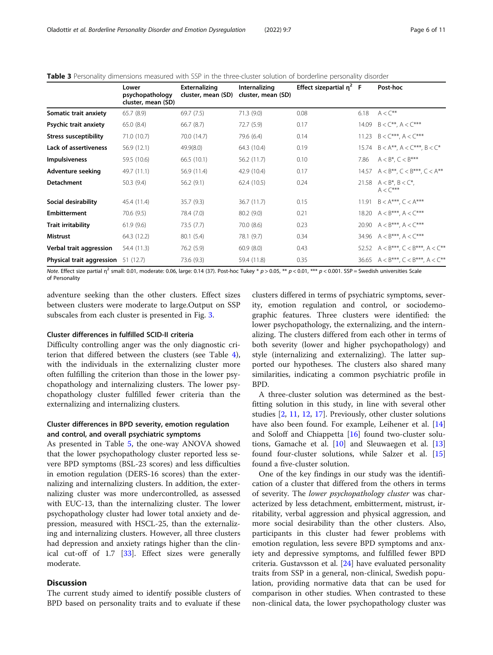|                                            | Lower<br>psychopathology<br>cluster, mean (SD) | Externalizing<br>cluster, mean (SD) | Internalizing<br>cluster, mean (SD) | Effect sizepartial $\eta^2$ F |       | Post-hoc                                          |
|--------------------------------------------|------------------------------------------------|-------------------------------------|-------------------------------------|-------------------------------|-------|---------------------------------------------------|
| Somatic trait anxiety                      | 65.7(8.9)                                      | 69.7(7.5)                           | 71.3(9.0)                           | 0.08                          | 6.18  | $A < C^{**}$                                      |
| Psychic trait anxiety                      | 65.0 (8.4)                                     | 66.7(8.7)                           | 72.7 (5.9)                          | 0.17                          | 14.09 | $B < C^{**}$ , $A < C^{***}$                      |
| <b>Stress susceptibility</b>               | 71.0 (10.7)                                    | 70.0 (14.7)                         | 79.6 (6.4)                          | 0.14                          | 11.23 | $B < C***$ , $A < C***$                           |
| Lack of assertiveness                      | 56.9 (12.1)                                    | 49.9(8.0)                           | 64.3 (10.4)                         | 0.19                          | 15.74 | $B < A^{**}$ , $A < C^{***}$ , $B < C^*$          |
| <b>Impulsiveness</b>                       | 59.5 (10.6)                                    | 66.5(10.1)                          | 56.2 (11.7)                         | 0.10                          | 7.86  | $A < B^*$ , $C < B^{***}$                         |
| <b>Adventure seeking</b>                   | 49.7 (11.1)                                    | 56.9 (11.4)                         | 42.9 (10.4)                         | 0.17                          |       | 14.57 $A < B^{**}$ , $C < B^{***}$ , $C < A^{**}$ |
| <b>Detachment</b>                          | 50.3(9.4)                                      | 56.2(9.1)                           | 62.4(10.5)                          | 0.24                          |       | 21.58 $A < B^*$ , $B < C^*$ .<br>$A < C***$       |
| Social desirability                        | 45.4 (11.4)                                    | 35.7(9.3)                           | 36.7(11.7)                          | 0.15                          | 11.91 | $B < A***$ , $C < A***$                           |
| <b>Embitterment</b>                        | 70.6 (9.5)                                     | 78.4 (7.0)                          | 80.2 (9.0)                          | 0.21                          | 18.20 | $A < B^{***}$ , $A < C^{***}$                     |
| <b>Trait irritability</b>                  | 61.9(9.6)                                      | 73.5 (7.7)                          | 70.0 (8.6)                          | 0.23                          | 20.90 | $A < B***$ , $A < C***$                           |
| <b>Mistrust</b>                            | 64.3 (12.2)                                    | 80.1(5.4)                           | 78.1 (9.7)                          | 0.34                          |       | 34.96 $A < B***$ , $A < C***$                     |
| Verbal trait aggression                    | 54.4 (11.3)                                    | 76.2 (5.9)                          | 60.9(8.0)                           | 0.43                          |       | 52.52 $A < B***$ , $C < B***$ , $A < C***$        |
| <b>Physical trait aggression</b> 51 (12.7) |                                                | 73.6 (9.3)                          | 59.4 (11.8)                         | 0.35                          |       | 36.65 $A < B***$ , $C < B***$ , $A < C***$        |

<span id="page-5-0"></span>Table 3 Personality dimensions measured with SSP in the three-cluster solution of borderline personality disorder

Note. Effect size partial  $\eta^2$  small: 0.01, moderate: 0.06, large: 0.14 (37). Post-hoc Tukey \* p > 0.05, \*\* p < 0.01, \*\*\* p < 0.001. SSP = Swedish universities Scale of Personality

adventure seeking than the other clusters. Effect sizes between clusters were moderate to large.Output on SSP subscales from each cluster is presented in Fig. [3.](#page-6-0)

## Cluster differences in fulfilled SCID-II criteria

Difficulty controlling anger was the only diagnostic criterion that differed between the clusters (see Table [4](#page-7-0)), with the individuals in the externalizing cluster more often fulfilling the criterion than those in the lower psychopathology and internalizing clusters. The lower psychopathology cluster fulfilled fewer criteria than the externalizing and internalizing clusters.

# Cluster differences in BPD severity, emotion regulation and control, and overall psychiatric symptoms

As presented in Table [5,](#page-7-0) the one-way ANOVA showed that the lower psychopathology cluster reported less severe BPD symptoms (BSL-23 scores) and less difficulties in emotion regulation (DERS-16 scores) than the externalizing and internalizing clusters. In addition, the externalizing cluster was more undercontrolled, as assessed with EUC-13, than the internalizing cluster. The lower psychopathology cluster had lower total anxiety and depression, measured with HSCL-25, than the externalizing and internalizing clusters. However, all three clusters had depression and anxiety ratings higher than the clinical cut-off of 1.7 [\[33](#page-10-0)]. Effect sizes were generally moderate.

# **Discussion**

The current study aimed to identify possible clusters of BPD based on personality traits and to evaluate if these

clusters differed in terms of psychiatric symptoms, severity, emotion regulation and control, or sociodemographic features. Three clusters were identified: the lower psychopathology, the externalizing, and the internalizing. The clusters differed from each other in terms of both severity (lower and higher psychopathology) and style (internalizing and externalizing). The latter supported our hypotheses. The clusters also shared many similarities, indicating a common psychiatric profile in BPD.

A three-cluster solution was determined as the bestfitting solution in this study, in line with several other studies [\[2](#page-9-0), [11,](#page-9-0) [12,](#page-9-0) [17](#page-9-0)]. Previously, other cluster solutions have also been found. For example, Leihener et al. [[14](#page-9-0)] and Soloff and Chiappetta [[16\]](#page-9-0) found two-cluster solutions, Gamache et al. [\[10\]](#page-9-0) and Sleuwaegen et al. [[13](#page-9-0)] found four-cluster solutions, while Salzer et al. [[15](#page-9-0)] found a five-cluster solution.

One of the key findings in our study was the identification of a cluster that differed from the others in terms of severity. The lower psychopathology cluster was characterized by less detachment, embitterment, mistrust, irritability, verbal aggression and physical aggression, and more social desirability than the other clusters. Also, participants in this cluster had fewer problems with emotion regulation, less severe BPD symptoms and anxiety and depressive symptoms, and fulfilled fewer BPD criteria. Gustavsson et al. [[24](#page-10-0)] have evaluated personality traits from SSP in a general, non-clinical, Swedish population, providing normative data that can be used for comparison in other studies. When contrasted to these non-clinical data, the lower psychopathology cluster was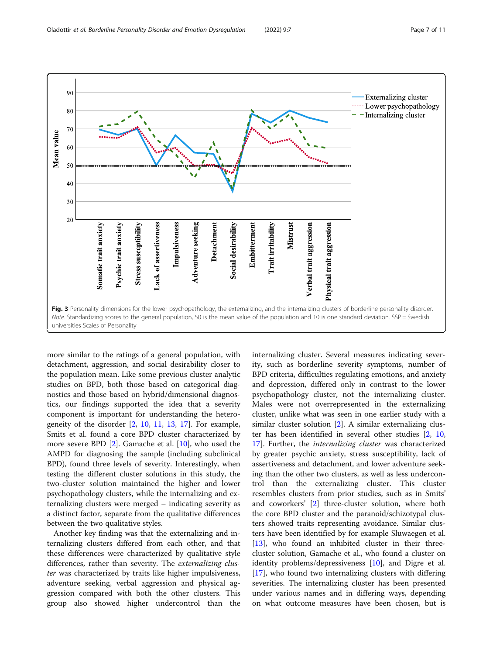Impulsiveness

Adventure seeking

Detachment

Social desirability

**Embitterment** 

Trait irritability

**Mistrust** 

Verbal trait aggression

<span id="page-6-0"></span>90

 $80$ 

70

50

 $40$ 

 $3<sup>1</sup>$ 

 $20$ 

somatic trait anxiety

Psychic trait anxiety

Stress susceptibility

ack of assertiveness

Mean value 60





more similar to the ratings of a general population, with detachment, aggression, and social desirability closer to the population mean. Like some previous cluster analytic studies on BPD, both those based on categorical diagnostics and those based on hybrid/dimensional diagnostics, our findings supported the idea that a severity component is important for understanding the heterogeneity of the disorder [\[2,](#page-9-0) [10,](#page-9-0) [11,](#page-9-0) [13,](#page-9-0) [17](#page-9-0)]. For example, Smits et al. found a core BPD cluster characterized by more severe BPD [[2\]](#page-9-0). Gamache et al. [[10](#page-9-0)], who used the AMPD for diagnosing the sample (including subclinical BPD), found three levels of severity. Interestingly, when testing the different cluster solutions in this study, the two-cluster solution maintained the higher and lower psychopathology clusters, while the internalizing and externalizing clusters were merged – indicating severity as a distinct factor, separate from the qualitative differences between the two qualitative styles.

Another key finding was that the externalizing and internalizing clusters differed from each other, and that these differences were characterized by qualitative style differences, rather than severity. The externalizing cluster was characterized by traits like higher impulsiveness, adventure seeking, verbal aggression and physical aggression compared with both the other clusters. This group also showed higher undercontrol than the internalizing cluster. Several measures indicating severity, such as borderline severity symptoms, number of BPD criteria, difficulties regulating emotions, and anxiety and depression, differed only in contrast to the lower psychopathology cluster, not the internalizing cluster. Males were not overrepresented in the externalizing cluster, unlike what was seen in one earlier study with a similar cluster solution [[2\]](#page-9-0). A similar externalizing cluster has been identified in several other studies [[2,](#page-9-0) [10](#page-9-0), [17\]](#page-9-0). Further, the internalizing cluster was characterized by greater psychic anxiety, stress susceptibility, lack of assertiveness and detachment, and lower adventure seeking than the other two clusters, as well as less undercontrol than the externalizing cluster. This cluster resembles clusters from prior studies, such as in Smits' and coworkers' [[2\]](#page-9-0) three-cluster solution, where both the core BPD cluster and the paranoid/schizotypal clusters showed traits representing avoidance. Similar clusters have been identified by for example Sluwaegen et al. [[13\]](#page-9-0), who found an inhibited cluster in their threecluster solution, Gamache et al., who found a cluster on identity problems/depressiveness [[10](#page-9-0)], and Digre et al. [[17\]](#page-9-0), who found two internalizing clusters with differing severities. The internalizing cluster has been presented under various names and in differing ways, depending on what outcome measures have been chosen, but is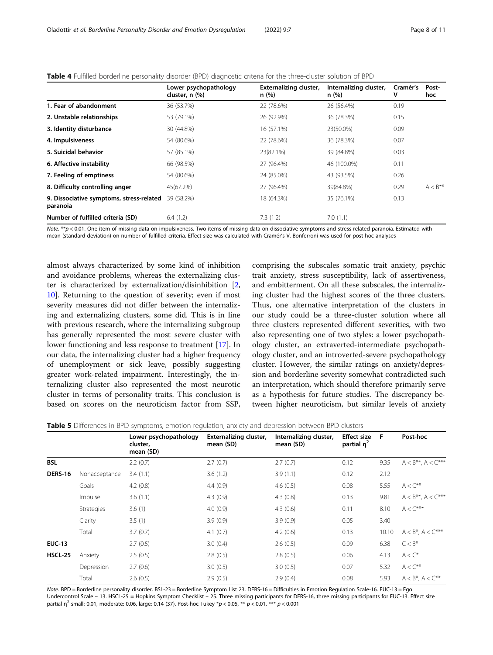|                                                      | Lower psychopathology<br>cluster, n (%) | Externalizing cluster,<br>n(%) | Internalizing cluster,<br>n (%) | Cramér's<br>v | Post-<br>hoc |
|------------------------------------------------------|-----------------------------------------|--------------------------------|---------------------------------|---------------|--------------|
| 1. Fear of abandonment                               | 36 (53.7%)                              | 22 (78.6%)                     | 26 (56.4%)                      | 0.19          |              |
| 2. Unstable relationships                            | 53 (79.1%)                              | 26 (92.9%)                     | 36 (78.3%)                      | 0.15          |              |
| 3. Identity disturbance                              | 30 (44.8%)                              | 16 (57.1%)                     | 23(50.0%)                       | 0.09          |              |
| 4. Impulsiveness                                     | 54 (80.6%)                              | 22 (78.6%)                     | 36 (78.3%)                      | 0.07          |              |
| 5. Suicidal behavior                                 | 57 (85.1%)                              | 23(82.1%)                      | 39 (84.8%)                      | 0.03          |              |
| 6. Affective instability                             | 66 (98.5%)                              | 27 (96.4%)                     | 46 (100.0%)                     | 0.11          |              |
| 7. Feeling of emptiness                              | 54 (80.6%)                              | 24 (85.0%)                     | 43 (93.5%)                      | 0.26          |              |
| 8. Difficulty controlling anger                      | 45(67.2%)                               | 27 (96.4%)                     | 39(84.8%)                       | 0.29          | $A < B***$   |
| 9. Dissociative symptoms, stress-related<br>paranoia | 39 (58.2%)                              | 18 (64.3%)                     | 35 (76.1%)                      | 0.13          |              |
| Number of fulfilled criteria (SD)                    | 6.4(1.2)                                | 7.3(1.2)                       | 7.0(1.1)                        |               |              |

<span id="page-7-0"></span>

| Table 4 Fulfilled borderline personality disorder (BPD) diagnostic criteria for the three-cluster solution of BPD |  |  |  |  |  |
|-------------------------------------------------------------------------------------------------------------------|--|--|--|--|--|
|-------------------------------------------------------------------------------------------------------------------|--|--|--|--|--|

Note. \*\*p < 0.01. One item of missing data on impulsiveness. Two items of missing data on dissociative symptoms and stress-related paranoia. Estimated with mean (standard deviation) on number of fulfilled criteria. Effect size was calculated with Cramér's V. Bonferroni was used for post-hoc analyses

almost always characterized by some kind of inhibition and avoidance problems, whereas the externalizing cluster is characterized by externalization/disinhibition [[2](#page-9-0), [10\]](#page-9-0). Returning to the question of severity; even if most severity measures did not differ between the internalizing and externalizing clusters, some did. This is in line with previous research, where the internalizing subgroup has generally represented the most severe cluster with lower functioning and less response to treatment [[17\]](#page-9-0). In our data, the internalizing cluster had a higher frequency of unemployment or sick leave, possibly suggesting greater work-related impairment. Interestingly, the internalizing cluster also represented the most neurotic cluster in terms of personality traits. This conclusion is based on scores on the neuroticism factor from SSP,

comprising the subscales somatic trait anxiety, psychic trait anxiety, stress susceptibility, lack of assertiveness, and embitterment. On all these subscales, the internalizing cluster had the highest scores of the three clusters. Thus, one alternative interpretation of the clusters in our study could be a three-cluster solution where all three clusters represented different severities, with two also representing one of two styles: a lower psychopathology cluster, an extraverted-intermediate psychopathology cluster, and an introverted-severe psychopathology cluster. However, the similar ratings on anxiety/depression and borderline severity somewhat contradicted such an interpretation, which should therefore primarily serve as a hypothesis for future studies. The discrepancy between higher neuroticism, but similar levels of anxiety

Table 5 Differences in BPD symptoms, emotion regulation, anxiety and depression between BPD clusters

|                | Lower psychopathology<br>cluster,<br>mean (SD) | Externalizing cluster,<br>mean (SD) | Internalizing cluster,<br>mean (SD) | <b>Effect size</b><br>partial $n^2$ | - F   | Post-hoc                     |
|----------------|------------------------------------------------|-------------------------------------|-------------------------------------|-------------------------------------|-------|------------------------------|
|                | 2.2(0.7)                                       | 2.7(0.7)                            | 2.7(0.7)                            | 0.12                                | 9.35  | $A < B^{**}$ , $A < C^{***}$ |
| Nonacceptance  | 3.4(1.1)                                       | 3.6(1.2)                            | 3.9(1.1)                            | 0.12                                | 2.12  |                              |
| Goals          | 4.2(0.8)                                       | 4.4(0.9)                            | 4.6(0.5)                            | 0.08                                | 5.55  | $A < C^{**}$                 |
| <i>Impulse</i> | 3.6(1.1)                                       | 4.3(0.9)                            | 4.3(0.8)                            | 0.13                                | 9.81  | $A < B^{**}$ , $A < C^{***}$ |
| Strategies     | 3.6(1)                                         | 4.0(0.9)                            | 4.3(0.6)                            | 0.11                                | 8.10  | $A \lt C^{***}$              |
| Clarity        | 3.5(1)                                         | 3.9(0.9)                            | 3.9(0.9)                            | 0.05                                | 3.40  |                              |
| Total          | 3.7(0.7)                                       | 4.1(0.7)                            | 4.2(0.6)                            | 0.13                                | 10.10 | $A < B^*$ , $A < C^{***}$    |
|                | 2.7(0.5)                                       | 3.0(0.4)                            | 2.6(0.5)                            | 0.09                                | 6.38  | $C < B^*$                    |
| Anxiety        | 2.5(0.5)                                       | 2.8(0.5)                            | 2.8(0.5)                            | 0.06                                | 4.13  | $A < C^*$                    |
| Depression     | 2.7(0.6)                                       | 3.0(0.5)                            | 3.0(0.5)                            | 0.07                                | 5.32  | $A < C^{**}$                 |
| Total          | 2.6(0.5)                                       | 2.9(0.5)                            | 2.9(0.4)                            | 0.08                                | 5.93  | $A < B^*$ , $A < C^{**}$     |
|                |                                                |                                     |                                     |                                     |       |                              |

Note. BPD = Borderline personality disorder. BSL-23 = Borderline Symptom List 23. DERS-16 = Difficulties in Emotion Regulation Scale-16. EUC-13 = Ego Undercontrol Scale – 13. HSCL-25 = Hopkins Symptom Checklist – 25. Three missing participants for DERS-16, three missing participants for EUC-13. Effect size partial  $\eta^2$  small: 0.01, moderate: 0.06, large: 0.14 (37). Post-hoc Tukey \*p < 0.05, \*\* p < 0.01, \*\*\* p < 0.001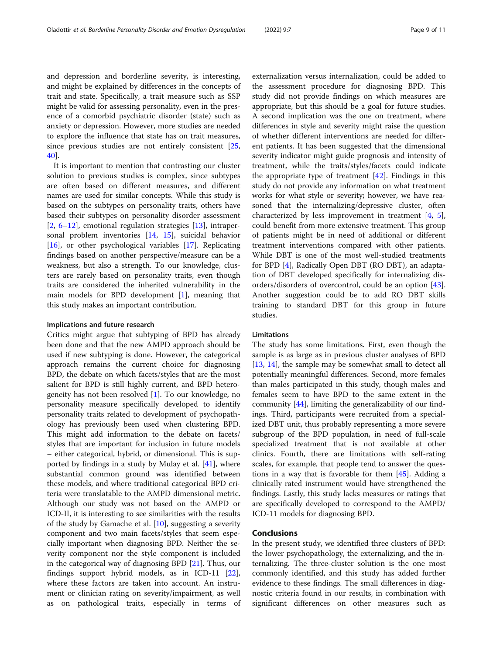and depression and borderline severity, is interesting, and might be explained by differences in the concepts of trait and state. Specifically, a trait measure such as SSP might be valid for assessing personality, even in the presence of a comorbid psychiatric disorder (state) such as anxiety or depression. However, more studies are needed to explore the influence that state has on trait measures, since previous studies are not entirely consistent [[25](#page-10-0), [40\]](#page-10-0).

It is important to mention that contrasting our cluster solution to previous studies is complex, since subtypes are often based on different measures, and different names are used for similar concepts. While this study is based on the subtypes on personality traits, others have based their subtypes on personality disorder assessment [[2,](#page-9-0) [6](#page-9-0)–[12](#page-9-0)], emotional regulation strategies [[13](#page-9-0)], intrapersonal problem inventories [[14,](#page-9-0) [15\]](#page-9-0), suicidal behavior [[16\]](#page-9-0), or other psychological variables [[17\]](#page-9-0). Replicating findings based on another perspective/measure can be a weakness, but also a strength. To our knowledge, clusters are rarely based on personality traits, even though traits are considered the inherited vulnerability in the main models for BPD development  $[1]$  $[1]$ , meaning that this study makes an important contribution.

## Implications and future research

Critics might argue that subtyping of BPD has already been done and that the new AMPD approach should be used if new subtyping is done. However, the categorical approach remains the current choice for diagnosing BPD, the debate on which facets/styles that are the most salient for BPD is still highly current, and BPD heterogeneity has not been resolved [\[1](#page-9-0)]. To our knowledge, no personality measure specifically developed to identify personality traits related to development of psychopathology has previously been used when clustering BPD. This might add information to the debate on facets/ styles that are important for inclusion in future models – either categorical, hybrid, or dimensional. This is supported by findings in a study by Mulay et al. [[41](#page-10-0)], where substantial common ground was identified between these models, and where traditional categorical BPD criteria were translatable to the AMPD dimensional metric. Although our study was not based on the AMPD or ICD-II, it is interesting to see similarities with the results of the study by Gamache et al. [\[10](#page-9-0)], suggesting a severity component and two main facets/styles that seem especially important when diagnosing BPD. Neither the severity component nor the style component is included in the categorical way of diagnosing BPD [\[21\]](#page-10-0). Thus, our findings support hybrid models, as in ICD-11 [\[22](#page-10-0)], where these factors are taken into account. An instrument or clinician rating on severity/impairment, as well as on pathological traits, especially in terms of

externalization versus internalization, could be added to the assessment procedure for diagnosing BPD. This study did not provide findings on which measures are appropriate, but this should be a goal for future studies. A second implication was the one on treatment, where differences in style and severity might raise the question of whether different interventions are needed for different patients. It has been suggested that the dimensional severity indicator might guide prognosis and intensity of treatment, while the traits/styles/facets could indicate the appropriate type of treatment  $[42]$  $[42]$  $[42]$ . Findings in this study do not provide any information on what treatment works for what style or severity; however, we have reasoned that the internalizing/depressive cluster, often characterized by less improvement in treatment [[4,](#page-9-0) [5](#page-9-0)], could benefit from more extensive treatment. This group of patients might be in need of additional or different treatment interventions compared with other patients. While DBT is one of the most well-studied treatments for BPD [[4\]](#page-9-0), Radically Open DBT (RO DBT), an adaptation of DBT developed specifically for internalizing disorders/disorders of overcontrol, could be an option [\[43](#page-10-0)]. Another suggestion could be to add RO DBT skills training to standard DBT for this group in future studies.

## Limitations

The study has some limitations. First, even though the sample is as large as in previous cluster analyses of BPD [[13,](#page-9-0) [14\]](#page-9-0), the sample may be somewhat small to detect all potentially meaningful differences. Second, more females than males participated in this study, though males and females seem to have BPD to the same extent in the community [[44](#page-10-0)], limiting the generalizability of our findings. Third, participants were recruited from a specialized DBT unit, thus probably representing a more severe subgroup of the BPD population, in need of full-scale specialized treatment that is not available at other clinics. Fourth, there are limitations with self-rating scales, for example, that people tend to answer the questions in a way that is favorable for them [[45](#page-10-0)]. Adding a clinically rated instrument would have strengthened the findings. Lastly, this study lacks measures or ratings that are specifically developed to correspond to the AMPD/ ICD-11 models for diagnosing BPD.

## Conclusions

In the present study, we identified three clusters of BPD: the lower psychopathology, the externalizing, and the internalizing. The three-cluster solution is the one most commonly identified, and this study has added further evidence to these findings. The small differences in diagnostic criteria found in our results, in combination with significant differences on other measures such as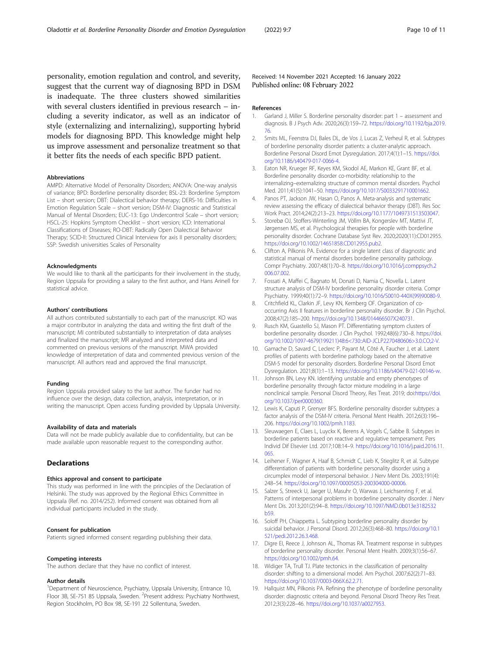<span id="page-9-0"></span>personality, emotion regulation and control, and severity, suggest that the current way of diagnosing BPD in DSM is inadequate. The three clusters showed similarities with several clusters identified in previous research – including a severity indicator, as well as an indicator of style (externalizing and internalizing), supporting hybrid models for diagnosing BPD. This knowledge might help us improve assessment and personalize treatment so that it better fits the needs of each specific BPD patient.

#### Abbreviations

AMPD: Alternative Model of Personality Disorders; ANOVA: One-way analysis of variance; BPD: Borderline personality disorder; BSL-23: Borderline Symptom List – short version; DBT: Dialectical behavior therapy; DERS-16: Difficulties in Emotion Regulation Scale – short version; DSM-IV: Diagnostic and Statistical Manual of Mental Disorders; EUC-13: Ego Undercontrol Scale – short version; HSCL-25: Hopkins Symptom Checklist – short version; ICD: International Classifications of Diseases; RO-DBT: Radically Open Dialectical Behavior Therapy; SCID-II: Structured Clinical Interview for axis II personality disorders; SSP: Swedish universities Scales of Personality

#### Acknowledgments

We would like to thank all the participants for their involvement in the study, Region Uppsala for providing a salary to the first author, and Hans Arinell for statistical advice.

#### Authors' contributions

All authors contributed substantially to each part of the manuscript. KO was a major contributor in analyzing the data and writing the first draft of the manuscript; MI contributed substantially to interpretation of data analyses and finalized the manuscript; MR analyzed and interpreted data and commented on previous versions of the manuscript. MWA provided knowledge of interpretation of data and commented previous version of the manuscript. All authors read and approved the final manuscript.

#### Funding

Region Uppsala provided salary to the last author. The funder had no influence over the design, data collection, analysis, interpretation, or in writing the manuscript. Open access funding provided by Uppsala University.

#### Availability of data and materials

Data will not be made publicly available due to confidentiality, but can be made available upon reasonable request to the corresponding author.

## **Declarations**

## Ethics approval and consent to participate

This study was performed in line with the principles of the Declaration of Helsinki. The study was approved by the Regional Ethics Committee in Uppsala (Ref. no. 2014/252). Informed consent was obtained from all individual participants included in the study.

#### Consent for publication

Patients signed informed consent regarding publishing their data.

#### Competing interests

The authors declare that they have no conflict of interest.

#### Author details

<sup>1</sup>Department of Neuroscience, Psychiatry, Uppsala University, Entrance 10, Floor 3B, SE-751 85 Uppsala, Sweden. <sup>2</sup> Present address: Psychiatry Northwest, Region Stockholm, PO Box 98, SE-191 22 Sollentuna, Sweden.

Received: 14 November 2021 Accepted: 16 January 2022 Published online: 08 February 2022

#### References

- 1. Garland J, Miller S. Borderline personality disorder: part 1 assessment and diagnosis. B J Psych Adv. 2020;26(3):159–72. [https://doi.org/10.1192/bja.2019.](https://doi.org/10.1192/bja.2019.76) [76.](https://doi.org/10.1192/bja.2019.76)
- 2. Smits ML, Feenstra DJ, Bales DL, de Vos J, Lucas Z, Verheul R, et al. Subtypes of borderline personality disorder patients: a cluster-analytic approach. Borderline Personal Disord Emot Dysregulation. 2017;4(1):1–15. [https://doi.](https://doi.org/10.1186/s40479-017-0066-4) [org/10.1186/s40479-017-0066-4](https://doi.org/10.1186/s40479-017-0066-4).
- 3. Eaton NR, Krueger RF, Keyes KM, Skodol AE, Markon KE, Grant BF, et al. Borderline personality disorder co-morbidity: relationship to the internalizing–externalizing structure of common mental disorders. Psychol Med. 2011;41(5):1041–50. <https://doi.org/10.1017/S0033291710001662>.
- 4. Panos PT, Jackson JW, Hasan O, Panos A. Meta-analysis and systematic review assessing the efficacy of dialectical behavior therapy (DBT). Res Soc Work Pract. 2014;24(2):213–23. [https://doi.org/10.1177/1049731513503047.](https://doi.org/10.1177/1049731513503047)
- 5. Storebø OJ, Stoffers-Winterling JM, Völlm BA, Kongerslev MT, Mattivi JT, Jørgensen MS, et al. Psychological therapies for people with borderline personality disorder. Cochrane Database Syst Rev. 2020;2020(11):CD012955. [https://doi.org/10.1002/14651858.CD012955.pub2.](https://doi.org/10.1002/14651858.CD012955.pub2)
- 6. Clifton A, Pilkonis PA. Evidence for a single latent class of diagnostic and statistical manual of mental disorders borderline personality pathology. Compr Psychiatry. 2007;48(1):70–8. [https://doi.org/10.1016/j.comppsych.2](https://doi.org/10.1016/j.comppsych.2006.07.002) [006.07.002](https://doi.org/10.1016/j.comppsych.2006.07.002).
- 7. Fossati A, Maffei C, Bagnato M, Donati D, Namia C, Novella L. Latent structure analysis of DSM-IV borderline personality disorder criteria. Compr Psychiatry. 1999;40(1):72–9. [https://doi.org/10.1016/S0010-440X\(99\)90080-9.](https://doi.org/10.1016/S0010-440X(99)90080-9)
- Critchfield KL, Clarkin JF, Levy KN, Kernberg OF. Organization of cooccurring Axis II features in borderline personality disorder. Br J Clin Psychol. 2008;47(2):185–200. <https://doi.org/10.1348/014466507X240731>.
- 9. Rusch KM, Guastello SJ, Mason PT. Differentiating symptom clusters of borderline personality disorder. J Clin Psychol. 1992;48(6):730–8. [https://doi.](https://doi.org/10.1002/1097-4679(199211)48:6<730::AID-JCLP2270480606>3.0.CO;2-V) [org/10.1002/1097-4679\(199211\)48:6<730::AID-JCLP2270480606>3.0.CO;2-V.](https://doi.org/10.1002/1097-4679(199211)48:6<730::AID-JCLP2270480606>3.0.CO;2-V)
- 10. Gamache D, Savard C, Leclerc P, Payant M, Côté A, Faucher J, et al. Latent profiles of patients with borderline pathology based on the alternative DSM-5 model for personality disorders. Borderline Personal Disord Emot Dysregulation. 2021;8(1):1–13. <https://doi.org/10.1186/s40479-021-00146-w>.
- 11. Johnson BN, Levy KN. Identifying unstable and empty phenotypes of borderline personality through factor mixture modeling in a large nonclinical sample. Personal Disord Theory, Res Treat. 2019; doi:[https://doi.](https://doi.org/10.1037/per0000360) [org/10.1037/per0000360](https://doi.org/10.1037/per0000360).
- 12. Lewis K, Caputi P, Grenyer BFS. Borderline personality disorder subtypes: a factor analysis of the DSM-IV criteria. Personal Ment Health. 2012;6(3):196– 206. [https://doi.org/10.1002/pmh.1183.](https://doi.org/10.1002/pmh.1183)
- 13. Sleuwaegen E, Claes L, Luyckx K, Berens A, Vogels C, Sabbe B. Subtypes in borderline patients based on reactive and regulative temperament. Pers Individ Dif Elsevier Ltd. 2017;108:14–9. [https://doi.org/10.1016/j.paid.2016.11.](https://doi.org/10.1016/j.paid.2016.11.065) [065.](https://doi.org/10.1016/j.paid.2016.11.065)
- 14. Leihener F, Wagner A, Haaf B, Schmidt C, Lieb K, Stieglitz R, et al. Subtype differentiation of patients with borderline personality disorder using a circumplex model of interpersonal behavior. J Nerv Ment Dis. 2003;191(4): 248–54. <https://doi.org/10.1097/00005053-200304000-00006>.
- 15. Salzer S, Streeck U, Jaeger U, Masuhr O, Warwas J, Leichsenring F, et al. Patterns of interpersonal problems in borderline personality disorder. J Nerv Ment Dis. 2013;201(2):94–8. [https://doi.org/10.1097/NMD.0b013e3182532](https://doi.org/10.1097/NMD.0b013e3182532b59) [b59](https://doi.org/10.1097/NMD.0b013e3182532b59).
- 16. Soloff PH, Chiappetta L. Subtyping borderline personality disorder by suicidal behavior. J Personal Disord. 2012;26(3):468–80. [https://doi.org/10.1](https://doi.org/10.1521/pedi.2012.26.3.468) [521/pedi.2012.26.3.468.](https://doi.org/10.1521/pedi.2012.26.3.468)
- 17. Digre EI, Reece J, Johnson AL, Thomas RA. Treatment response in subtypes of borderline personality disorder. Personal Ment Health. 2009;3(1):56–67. <https://doi.org/10.1002/pmh.64>.
- 18. Widiger TA, Trull TJ, Plate tectonics in the classification of personality disorder: shifting to a dimensional model. Am Psychol. 2007;62(2):71–83. <https://doi.org/10.1037/0003-066X.62.2.71>.
- 19. Hallquist MN, Pilkonis PA. Refining the phenotype of borderline personality disorder: diagnostic criteria and beyond. Personal Disord Theory Res Treat. 2012;3(3):228–46. [https://doi.org/10.1037/a0027953.](https://doi.org/10.1037/a0027953)